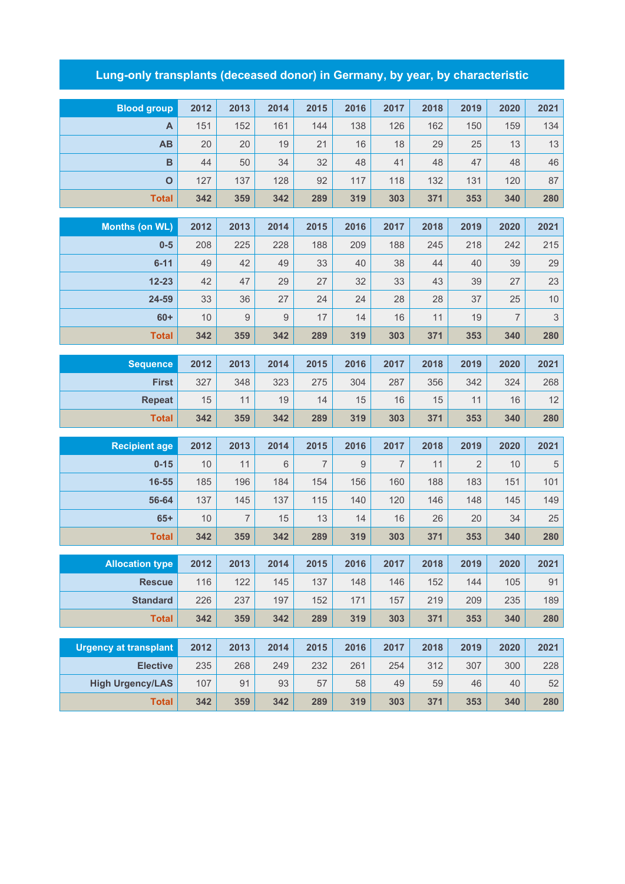## **Lung-only transplants (deceased donor) in Germany, by year, by characteristic**

| <b>Blood group</b>           | 2012     | 2013           | 2014     | 2015           | 2016     | 2017     | 2018     | 2019     | 2020                 | 2021               |
|------------------------------|----------|----------------|----------|----------------|----------|----------|----------|----------|----------------------|--------------------|
| A                            | 151      | 152            | 161      | 144            | 138      | 126      | 162      | 150      | 159                  | 134                |
| AB                           | 20       | 20             | 19       | 21             | 16       | 18       | 29       | 25       | 13                   | 13                 |
| $\overline{B}$               | 44       | 50             | 34       | 32             | 48       | 41       | 48       | 47       | 48                   | 46                 |
| $\mathbf O$                  | 127      | 137            | 128      | 92             | 117      | 118      | 132      | 131      | 120                  | 87                 |
| <b>Total</b>                 | 342      | 359            | 342      | 289            | 319      | 303      | 371      | 353      | 340                  | 280                |
|                              | 2012     |                |          |                |          |          |          |          |                      |                    |
| <b>Months (on WL)</b>        |          | 2013           | 2014     | 2015           | 2016     | 2017     | 2018     | 2019     | 2020                 | 2021               |
| $0-5$                        | 208      | 225            | 228      | 188            | 209      | 188      | 245      | 218      | 242                  | 215                |
| $6 - 11$                     | 49       | 42             | 49       | 33             | 40       | 38       | 44       | 40       | 39                   | 29                 |
| $12 - 23$<br>24-59           | 42<br>33 | 47<br>36       | 29<br>27 | 27<br>24       | 32       | 33       | 43       | 39       | 27                   | 23                 |
| $60+$                        | 10       | $9\,$          | $9\,$    | 17             | 24<br>14 | 28<br>16 | 28<br>11 | 37<br>19 | 25<br>$\overline{7}$ | $10$<br>$\sqrt{3}$ |
| <b>Total</b>                 | 342      | 359            | 342      | 289            | 319      | 303      | 371      | 353      | 340                  | 280                |
|                              |          |                |          |                |          |          |          |          |                      |                    |
| <b>Sequence</b>              | 2012     | 2013           | 2014     | 2015           | 2016     | 2017     | 2018     | 2019     | 2020                 | 2021               |
| <b>First</b>                 | 327      | 348            | 323      | 275            | 304      | 287      | 356      | 342      | 324                  | 268                |
| <b>Repeat</b>                | 15       | 11             | 19       | 14             | 15       | 16       | 15       | 11       | 16                   | 12                 |
| <b>Total</b>                 | 342      | 359            | 342      | 289            | 319      | 303      | 371      | 353      | 340                  | 280                |
| <b>Recipient age</b>         | 2012     | 2013           | 2014     | 2015           | 2016     | 2017     | 2018     | 2019     | 2020                 | 2021               |
| $0 - 15$                     | 10       | 11             | 6        | $\overline{7}$ | 9        | 7        | 11       | 2        | 10                   | $\,$ 5 $\,$        |
| 16-55                        | 185      | 196            | 184      | 154            | 156      | 160      | 188      | 183      | 151                  | 101                |
| 56-64                        | 137      | 145            | 137      | 115            | 140      | 120      | 146      | 148      | 145                  | 149                |
| $65+$                        | 10       | $\overline{7}$ | 15       | 13             | 14       | 16       | 26       | 20       | 34                   | 25                 |
| <b>Total</b>                 | 342      | 359            | 342      | 289            | 319      | 303      | 371      | 353      | 340                  | 280                |
|                              |          |                |          |                |          |          |          |          |                      |                    |
| <b>Allocation type</b>       | 2012     | 2013           | 2014     | 2015           | 2016     | 2017     | 2018     | 2019     | 2020                 | 2021               |
| <b>Rescue</b>                | 116      | 122            | 145      | 137            | 148      | 146      | 152      | 144      | 105                  | 91                 |
| <b>Standard</b>              | 226      | 237            | 197      | 152            | 171      | 157      | 219      | 209      | 235                  | 189                |
| <b>Total</b>                 | 342      | 359            | 342      | 289            | 319      | 303      | 371      | 353      | 340                  | 280                |
| <b>Urgency at transplant</b> | 2012     | 2013           | 2014     | 2015           | 2016     | 2017     | 2018     | 2019     | 2020                 | 2021               |
| <b>Elective</b>              | 235      | 268            | 249      | 232            | 261      | 254      | 312      | 307      | 300                  | 228                |
| <b>High Urgency/LAS</b>      | 107      | 91             | 93       | 57             | 58       | 49       | 59       | 46       | 40                   | 52                 |
| <b>Total</b>                 | 342      | 359            | 342      | 289            | 319      | 303      | 371      | 353      | 340                  | 280                |